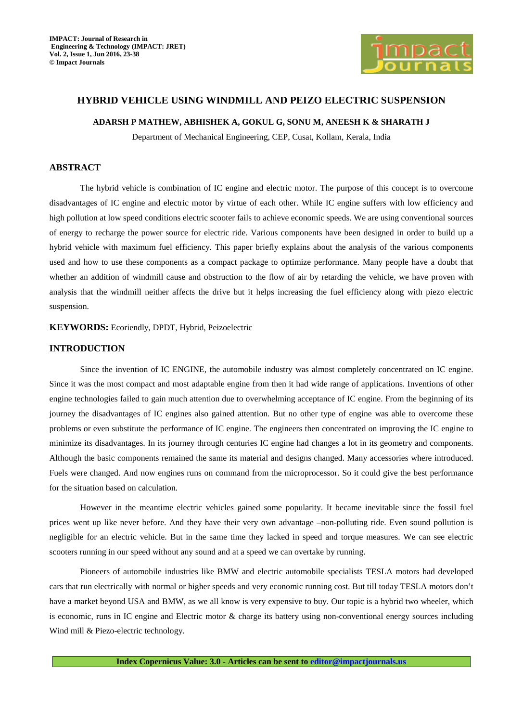

# **HYBRID VEHICLE USING WINDMILL AND PEIZO ELECTRIC SUSPENSION**

### **ADARSH P MATHEW, ABHISHEK A, GOKUL G, SONU M, ANEESH K & SHARATH J**

Department of Mechanical Engineering, CEP, Cusat, Kollam, Kerala, India

# **ABSTRACT**

The hybrid vehicle is combination of IC engine and electric motor. The purpose of this concept is to overcome disadvantages of IC engine and electric motor by virtue of each other. While IC engine suffers with low efficiency and high pollution at low speed conditions electric scooter fails to achieve economic speeds. We are using conventional sources of energy to recharge the power source for electric ride. Various components have been designed in order to build up a hybrid vehicle with maximum fuel efficiency. This paper briefly explains about the analysis of the various components used and how to use these components as a compact package to optimize performance. Many people have a doubt that whether an addition of windmill cause and obstruction to the flow of air by retarding the vehicle, we have proven with analysis that the windmill neither affects the drive but it helps increasing the fuel efficiency along with piezo electric suspension.

**KEYWORDS:** Ecoriendly, DPDT, Hybrid, Peizoelectric

# **INTRODUCTION**

Since the invention of IC ENGINE, the automobile industry was almost completely concentrated on IC engine. Since it was the most compact and most adaptable engine from then it had wide range of applications. Inventions of other engine technologies failed to gain much attention due to overwhelming acceptance of IC engine. From the beginning of its journey the disadvantages of IC engines also gained attention. But no other type of engine was able to overcome these problems or even substitute the performance of IC engine. The engineers then concentrated on improving the IC engine to minimize its disadvantages. In its journey through centuries IC engine had changes a lot in its geometry and components. Although the basic components remained the same its material and designs changed. Many accessories where introduced. Fuels were changed. And now engines runs on command from the microprocessor. So it could give the best performance for the situation based on calculation.

However in the meantime electric vehicles gained some popularity. It became inevitable since the fossil fuel prices went up like never before. And they have their very own advantage –non-polluting ride. Even sound pollution is negligible for an electric vehicle. But in the same time they lacked in speed and torque measures. We can see electric scooters running in our speed without any sound and at a speed we can overtake by running.

Pioneers of automobile industries like BMW and electric automobile specialists TESLA motors had developed cars that run electrically with normal or higher speeds and very economic running cost. But till today TESLA motors don't have a market beyond USA and BMW, as we all know is very expensive to buy. Our topic is a hybrid two wheeler, which is economic, runs in IC engine and Electric motor & charge its battery using non-conventional energy sources including Wind mill & Piezo-electric technology.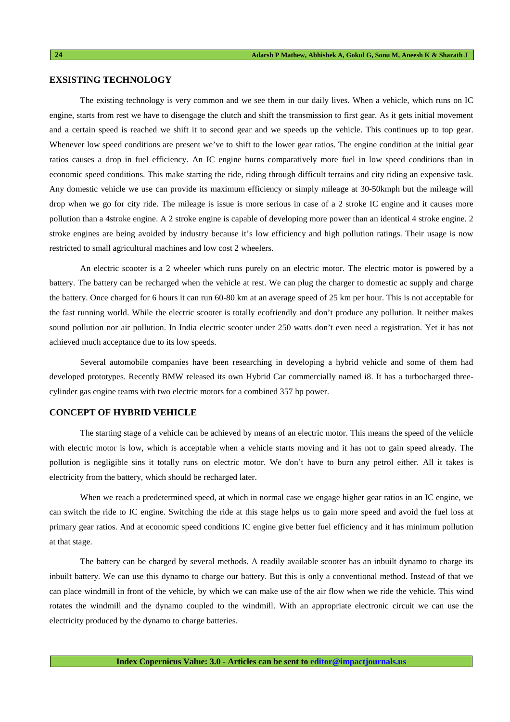### **EXSISTING TECHNOLOGY**

The existing technology is very common and we see them in our daily lives. When a vehicle, which runs on IC engine, starts from rest we have to disengage the clutch and shift the transmission to first gear. As it gets initial movement and a certain speed is reached we shift it to second gear and we speeds up the vehicle. This continues up to top gear. Whenever low speed conditions are present we've to shift to the lower gear ratios. The engine condition at the initial gear ratios causes a drop in fuel efficiency. An IC engine burns comparatively more fuel in low speed conditions than in economic speed conditions. This make starting the ride, riding through difficult terrains and city riding an expensive task. Any domestic vehicle we use can provide its maximum efficiency or simply mileage at 30-50kmph but the mileage will drop when we go for city ride. The mileage is issue is more serious in case of a 2 stroke IC engine and it causes more pollution than a 4stroke engine. A 2 stroke engine is capable of developing more power than an identical 4 stroke engine. 2 stroke engines are being avoided by industry because it's low efficiency and high pollution ratings. Their usage is now restricted to small agricultural machines and low cost 2 wheelers.

An electric scooter is a 2 wheeler which runs purely on an electric motor. The electric motor is powered by a battery. The battery can be recharged when the vehicle at rest. We can plug the charger to domestic ac supply and charge the battery. Once charged for 6 hours it can run 60-80 km at an average speed of 25 km per hour. This is not acceptable for the fast running world. While the electric scooter is totally ecofriendly and don't produce any pollution. It neither makes sound pollution nor air pollution. In India electric scooter under 250 watts don't even need a registration. Yet it has not achieved much acceptance due to its low speeds.

Several automobile companies have been researching in developing a hybrid vehicle and some of them had developed prototypes. Recently BMW released its own Hybrid Car commercially named i8. It has a turbocharged threecylinder gas engine teams with two electric motors for a combined 357 hp power.

# **CONCEPT OF HYBRID VEHICLE**

The starting stage of a vehicle can be achieved by means of an electric motor. This means the speed of the vehicle with electric motor is low, which is acceptable when a vehicle starts moving and it has not to gain speed already. The pollution is negligible sins it totally runs on electric motor. We don't have to burn any petrol either. All it takes is electricity from the battery, which should be recharged later.

When we reach a predetermined speed, at which in normal case we engage higher gear ratios in an IC engine, we can switch the ride to IC engine. Switching the ride at this stage helps us to gain more speed and avoid the fuel loss at primary gear ratios. And at economic speed conditions IC engine give better fuel efficiency and it has minimum pollution at that stage.

The battery can be charged by several methods. A readily available scooter has an inbuilt dynamo to charge its inbuilt battery. We can use this dynamo to charge our battery. But this is only a conventional method. Instead of that we can place windmill in front of the vehicle, by which we can make use of the air flow when we ride the vehicle. This wind rotates the windmill and the dynamo coupled to the windmill. With an appropriate electronic circuit we can use the electricity produced by the dynamo to charge batteries.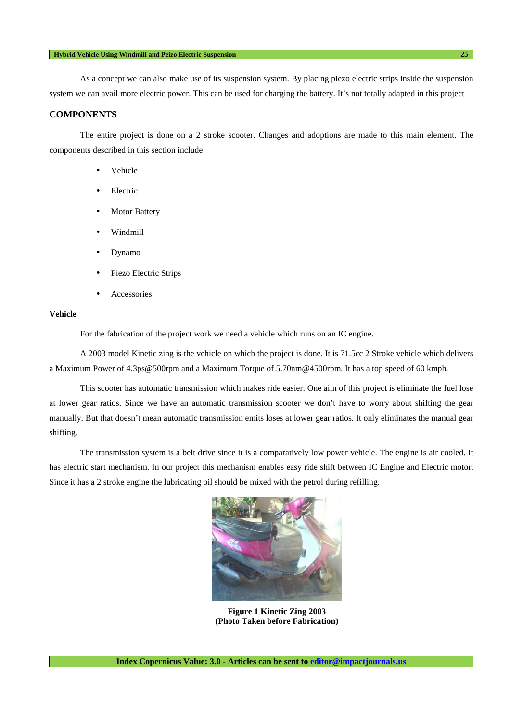### **Hybrid Vehicle Using Windmill and Peizo Electric Suspension 25**

As a concept we can also make use of its suspension system. By placing piezo electric strips inside the suspension system we can avail more electric power. This can be used for charging the battery. It's not totally adapted in this project

# **COMPONENTS**

The entire project is done on a 2 stroke scooter. Changes and adoptions are made to this main element. The components described in this section include

- Vehicle
- **Electric**
- **Motor Battery**
- Windmill
- Dynamo
- Piezo Electric Strips
- **Accessories**

# **Vehicle**

For the fabrication of the project work we need a vehicle which runs on an IC engine.

A 2003 model Kinetic zing is the vehicle on which the project is done. It is 71.5cc 2 Stroke vehicle which delivers a Maximum Power of 4.3ps@500rpm and a Maximum Torque of 5.70nm@4500rpm. It has a top speed of 60 kmph.

This scooter has automatic transmission which makes ride easier. One aim of this project is eliminate the fuel lose at lower gear ratios. Since we have an automatic transmission scooter we don't have to worry about shifting the gear manually. But that doesn't mean automatic transmission emits loses at lower gear ratios. It only eliminates the manual gear shifting.

The transmission system is a belt drive since it is a comparatively low power vehicle. The engine is air cooled. It has electric start mechanism. In our project this mechanism enables easy ride shift between IC Engine and Electric motor. Since it has a 2 stroke engine the lubricating oil should be mixed with the petrol during refilling.



**Figure 1 Kinetic Zing 2003 (Photo Taken before Fabrication)**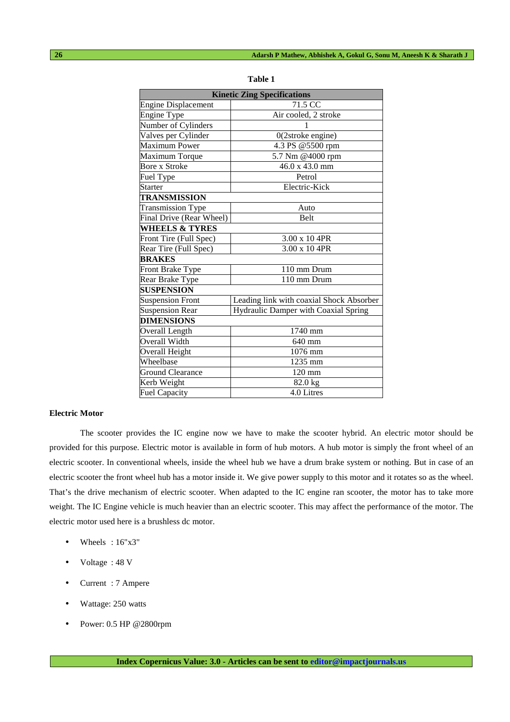| <b>Kinetic Zing Specifications</b> |                                          |  |  |
|------------------------------------|------------------------------------------|--|--|
| <b>Engine Displacement</b>         | 71.5 CC                                  |  |  |
| <b>Engine Type</b>                 | Air cooled, 2 stroke                     |  |  |
| Number of Cylinders                |                                          |  |  |
| Valves per Cylinder                | $0(2$ stroke engine $)$                  |  |  |
| <b>Maximum Power</b>               | 4.3 PS @5500 rpm                         |  |  |
| Maximum Torque                     | 5.7 Nm @4000 rpm                         |  |  |
| <b>Bore x Stroke</b>               | 46.0 x 43.0 mm                           |  |  |
| Fuel Type                          | Petrol                                   |  |  |
| <b>Starter</b>                     | Electric-Kick                            |  |  |
| <b>TRANSMISSION</b>                |                                          |  |  |
| <b>Transmission Type</b>           | Auto                                     |  |  |
| Final Drive (Rear Wheel)           | <b>Belt</b>                              |  |  |
| <b>WHEELS &amp; TYRES</b>          |                                          |  |  |
| Front Tire (Full Spec)             | 3.00 x 10 4PR                            |  |  |
| Rear Tire (Full Spec)              | 3.00 x 10 4PR                            |  |  |
| <b>BRAKES</b>                      |                                          |  |  |
| Front Brake Type                   | 110 mm Drum                              |  |  |
| Rear Brake Type                    | 110 mm Drum                              |  |  |
| <b>SUSPENSION</b>                  |                                          |  |  |
| <b>Suspension Front</b>            | Leading link with coaxial Shock Absorber |  |  |
| Suspension Rear                    | Hydraulic Damper with Coaxial Spring     |  |  |
| <b>DIMENSIONS</b>                  |                                          |  |  |
| Overall Length                     | 1740 mm                                  |  |  |
| Overall Width                      | 640 mm                                   |  |  |
| Overall Height                     | 1076 mm                                  |  |  |
| Wheelbase                          | 1235 mm                                  |  |  |
| <b>Ground Clearance</b>            | 120 mm                                   |  |  |
| Kerb Weight                        | 82.0 kg                                  |  |  |
| <b>Fuel Capacity</b>               | 4.0 Litres                               |  |  |

| Ι<br><br>I<br>٠ |  |
|-----------------|--|
|-----------------|--|

## **Electric Motor**

The scooter provides the IC engine now we have to make the scooter hybrid. An electric motor should be provided for this purpose. Electric motor is available in form of hub motors. A hub motor is simply the front wheel of an electric scooter. In conventional wheels, inside the wheel hub we have a drum brake system or nothing. But in case of an electric scooter the front wheel hub has a motor inside it. We give power supply to this motor and it rotates so as the wheel. That's the drive mechanism of electric scooter. When adapted to the IC engine ran scooter, the motor has to take more weight. The IC Engine vehicle is much heavier than an electric scooter. This may affect the performance of the motor. The electric motor used here is a brushless dc motor.

- Wheels:  $16"x3"$
- Voltage : 48 V
- Current : 7 Ampere
- Wattage: 250 watts
- Power: 0.5 HP @2800rpm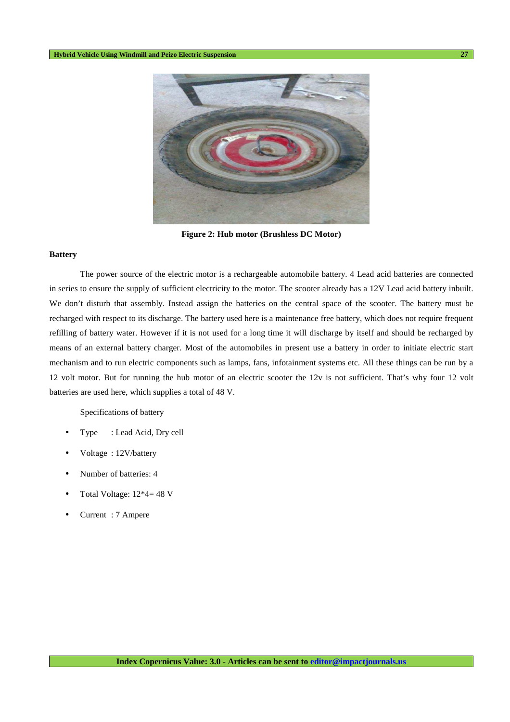

**Figure 2: Hub motor (Brushless DC Motor)** 

#### **Battery**

The power source of the electric motor is a rechargeable automobile battery. 4 Lead acid batteries are connected in series to ensure the supply of sufficient electricity to the motor. The scooter already has a 12V Lead acid battery inbuilt. We don't disturb that assembly. Instead assign the batteries on the central space of the scooter. The battery must be recharged with respect to its discharge. The battery used here is a maintenance free battery, which does not require frequent refilling of battery water. However if it is not used for a long time it will discharge by itself and should be recharged by means of an external battery charger. Most of the automobiles in present use a battery in order to initiate electric start mechanism and to run electric components such as lamps, fans, infotainment systems etc. All these things can be run by a 12 volt motor. But for running the hub motor of an electric scooter the 12v is not sufficient. That's why four 12 volt batteries are used here, which supplies a total of 48 V.

Specifications of battery

- Type : Lead Acid, Dry cell
- Voltage : 12V/battery
- Number of batteries: 4
- Total Voltage: 12\*4= 48 V
- Current : 7 Ampere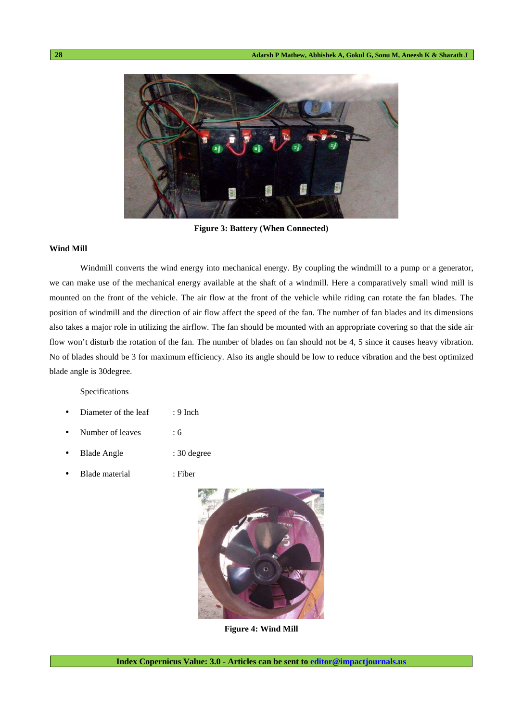

**Figure 3: Battery (When Connected)** 

### **Wind Mill**

Windmill converts the wind energy into mechanical energy. By coupling the windmill to a pump or a generator, we can make use of the mechanical energy available at the shaft of a windmill. Here a comparatively small wind mill is mounted on the front of the vehicle. The air flow at the front of the vehicle while riding can rotate the fan blades. The position of windmill and the direction of air flow affect the speed of the fan. The number of fan blades and its dimensions also takes a major role in utilizing the airflow. The fan should be mounted with an appropriate covering so that the side air flow won't disturb the rotation of the fan. The number of blades on fan should not be 4, 5 since it causes heavy vibration. No of blades should be 3 for maximum efficiency. Also its angle should be low to reduce vibration and the best optimized blade angle is 30degree.

Specifications

- Diameter of the leaf : 9 Inch
- Number of leaves : 6
- Blade Angle : 30 degree
- Blade material : Fiber



**Figure 4: Wind Mill**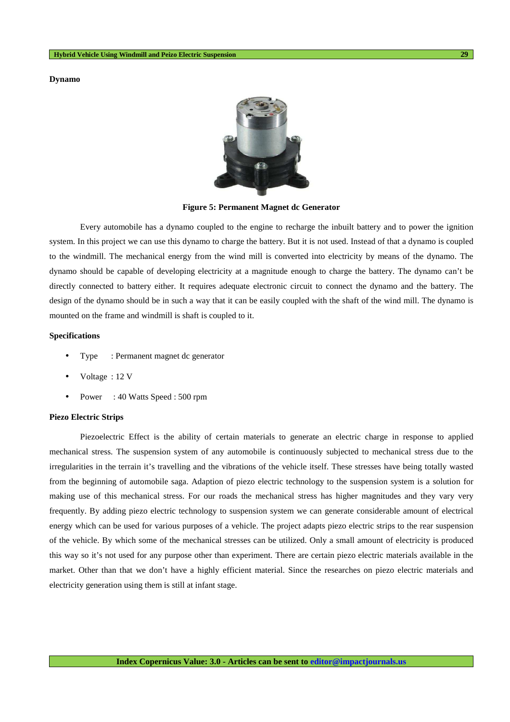**Dynamo** 



**Figure 5: Permanent Magnet dc Generator** 

Every automobile has a dynamo coupled to the engine to recharge the inbuilt battery and to power the ignition system. In this project we can use this dynamo to charge the battery. But it is not used. Instead of that a dynamo is coupled to the windmill. The mechanical energy from the wind mill is converted into electricity by means of the dynamo. The dynamo should be capable of developing electricity at a magnitude enough to charge the battery. The dynamo can't be directly connected to battery either. It requires adequate electronic circuit to connect the dynamo and the battery. The design of the dynamo should be in such a way that it can be easily coupled with the shaft of the wind mill. The dynamo is mounted on the frame and windmill is shaft is coupled to it.

### **Specifications**

- Type : Permanent magnet dc generator
- Voltage: 12 V
- Power : 40 Watts Speed : 500 rpm

#### **Piezo Electric Strips**

Piezoelectric Effect is the ability of certain materials to generate an electric charge in response to applied mechanical stress. The suspension system of any automobile is continuously subjected to mechanical stress due to the irregularities in the terrain it's travelling and the vibrations of the vehicle itself. These stresses have being totally wasted from the beginning of automobile saga. Adaption of piezo electric technology to the suspension system is a solution for making use of this mechanical stress. For our roads the mechanical stress has higher magnitudes and they vary very frequently. By adding piezo electric technology to suspension system we can generate considerable amount of electrical energy which can be used for various purposes of a vehicle. The project adapts piezo electric strips to the rear suspension of the vehicle. By which some of the mechanical stresses can be utilized. Only a small amount of electricity is produced this way so it's not used for any purpose other than experiment. There are certain piezo electric materials available in the market. Other than that we don't have a highly efficient material. Since the researches on piezo electric materials and electricity generation using them is still at infant stage.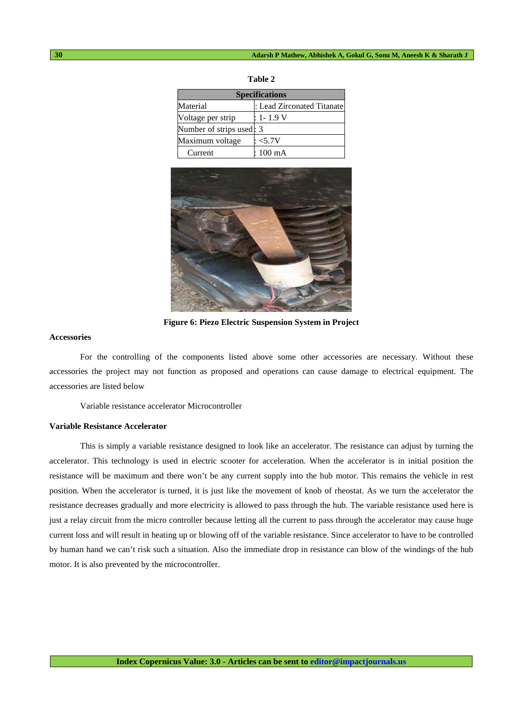| <b>Specifications</b>    |                            |  |
|--------------------------|----------------------------|--|
| Material                 | : Lead Zirconated Titanate |  |
| Voltage per strip        | : 1- 1.9 V                 |  |
| Number of strips used: 3 |                            |  |
| Maximum voltage          | : <5.7V                    |  |
| Current                  | : 100 mA                   |  |





**Figure 6: Piezo Electric Suspension System in Project** 

### **Accessories**

For the controlling of the components listed above some other accessories are necessary. Without these accessories the project may not function as proposed and operations can cause damage to electrical equipment. The accessories are listed below

Variable resistance accelerator Microcontroller

### **Variable Resistance Accelerator**

This is simply a variable resistance designed to look like an accelerator. The resistance can adjust by turning the accelerator. This technology is used in electric scooter for acceleration. When the accelerator is in initial position the resistance will be maximum and there won't be any current supply into the hub motor. This remains the vehicle in rest position. When the accelerator is turned, it is just like the movement of knob of rheostat. As we turn the accelerator the resistance decreases gradually and more electricity is allowed to pass through the hub. The variable resistance used here is just a relay circuit from the micro controller because letting all the current to pass through the accelerator may cause huge current loss and will result in heating up or blowing off of the variable resistance. Since accelerator to have to be controlled by human hand we can't risk such a situation. Also the immediate drop in resistance can blow of the windings of the hub motor. It is also prevented by the microcontroller.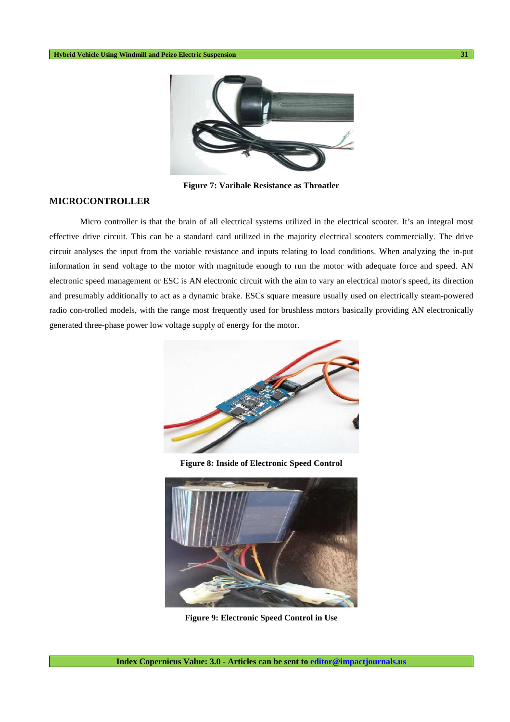

**Figure 7: Varibale Resistance as Throatler** 

## **MICROCONTROLLER**

Micro controller is that the brain of all electrical systems utilized in the electrical scooter. It's an integral most effective drive circuit. This can be a standard card utilized in the majority electrical scooters commercially. The drive circuit analyses the input from the variable resistance and inputs relating to load conditions. When analyzing the in-put information in send voltage to the motor with magnitude enough to run the motor with adequate force and speed. AN electronic speed management or ESC is AN electronic circuit with the aim to vary an electrical motor's speed, its direction and presumably additionally to act as a dynamic brake. ESCs square measure usually used on electrically steam-powered radio con-trolled models, with the range most frequently used for brushless motors basically providing AN electronically generated three-phase power low voltage supply of energy for the motor.



**Figure 8: Inside of Electronic Speed Control** 



**Figure 9: Electronic Speed Control in Use**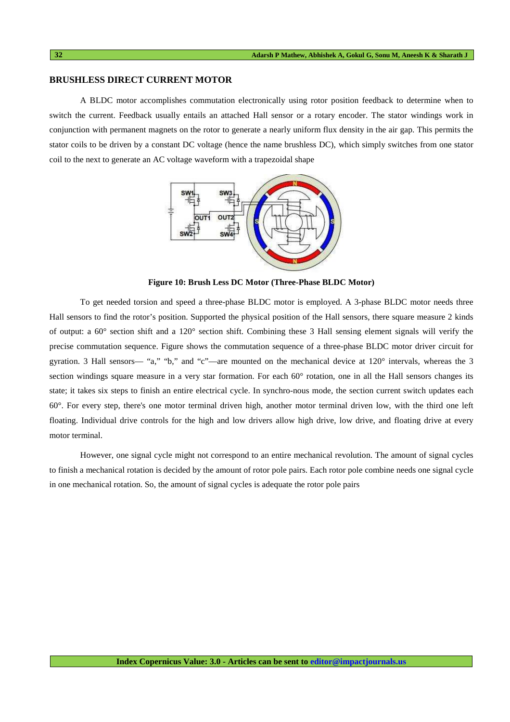### **BRUSHLESS DIRECT CURRENT MOTOR**

A BLDC motor accomplishes commutation electronically using rotor position feedback to determine when to switch the current. Feedback usually entails an attached Hall sensor or a rotary encoder. The stator windings work in conjunction with permanent magnets on the rotor to generate a nearly uniform flux density in the air gap. This permits the stator coils to be driven by a constant DC voltage (hence the name brushless DC), which simply switches from one stator coil to the next to generate an AC voltage waveform with a trapezoidal shape



**Figure 10: Brush Less DC Motor (Three-Phase BLDC Motor)** 

To get needed torsion and speed a three-phase BLDC motor is employed. A 3-phase BLDC motor needs three Hall sensors to find the rotor's position. Supported the physical position of the Hall sensors, there square measure 2 kinds of output: a 60° section shift and a 120° section shift. Combining these 3 Hall sensing element signals will verify the precise commutation sequence. Figure shows the commutation sequence of a three-phase BLDC motor driver circuit for gyration. 3 Hall sensors— "a," "b," and "c"—are mounted on the mechanical device at 120° intervals, whereas the 3 section windings square measure in a very star formation. For each 60° rotation, one in all the Hall sensors changes its state; it takes six steps to finish an entire electrical cycle. In synchro-nous mode, the section current switch updates each 60°. For every step, there's one motor terminal driven high, another motor terminal driven low, with the third one left floating. Individual drive controls for the high and low drivers allow high drive, low drive, and floating drive at every motor terminal.

However, one signal cycle might not correspond to an entire mechanical revolution. The amount of signal cycles to finish a mechanical rotation is decided by the amount of rotor pole pairs. Each rotor pole combine needs one signal cycle in one mechanical rotation. So, the amount of signal cycles is adequate the rotor pole pairs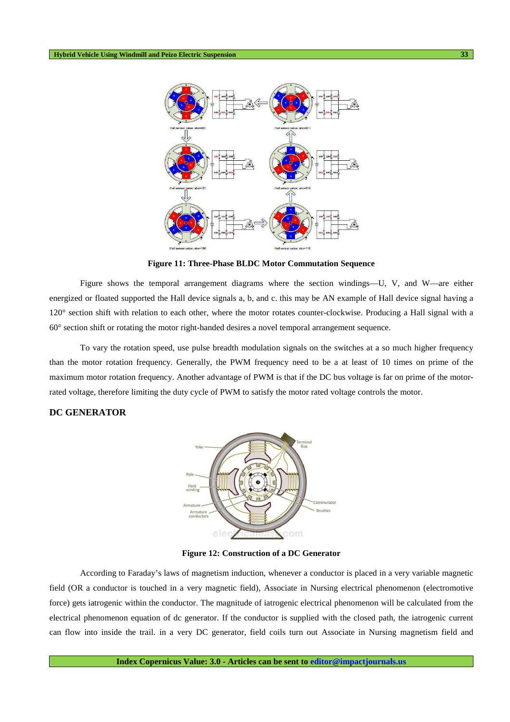

**Figure 11: Three-Phase BLDC Motor Commutation Sequence** 

Figure shows the temporal arrangement diagrams where the section windings—U, V, and W—are either energized or floated supported the Hall device signals a, b, and c. this may be AN example of Hall device signal having a 120° section shift with relation to each other, where the motor rotates counter-clockwise. Producing a Hall signal with a 60° section shift or rotating the motor right-handed desires a novel temporal arrangement sequence.

To vary the rotation speed, use pulse breadth modulation signals on the switches at a so much higher frequency than the motor rotation frequency. Generally, the PWM frequency need to be a at least of 10 times on prime of the maximum motor rotation frequency. Another advantage of PWM is that if the DC bus voltage is far on prime of the motorrated voltage, therefore limiting the duty cycle of PWM to satisfy the motor rated voltage controls the motor.

## **DC GENERATOR**



**Figure 12: Construction of a DC Generator** 

According to Faraday's laws of magnetism induction, whenever a conductor is placed in a very variable magnetic field (OR a conductor is touched in a very magnetic field), Associate in Nursing electrical phenomenon (electromotive force) gets iatrogenic within the conductor. The magnitude of iatrogenic electrical phenomenon will be calculated from the electrical phenomenon equation of dc generator. If the conductor is supplied with the closed path, the iatrogenic current can flow into inside the trail. in a very DC generator, field coils turn out Associate in Nursing magnetism field and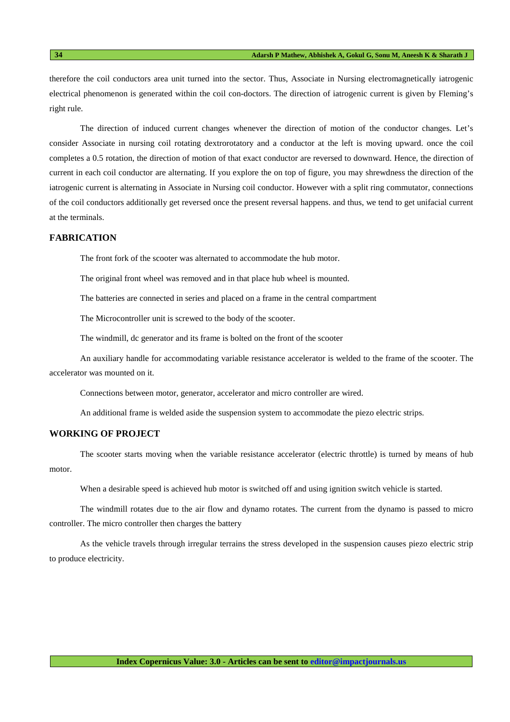therefore the coil conductors area unit turned into the sector. Thus, Associate in Nursing electromagnetically iatrogenic electrical phenomenon is generated within the coil con-doctors. The direction of iatrogenic current is given by Fleming's right rule.

The direction of induced current changes whenever the direction of motion of the conductor changes. Let's consider Associate in nursing coil rotating dextrorotatory and a conductor at the left is moving upward. once the coil completes a 0.5 rotation, the direction of motion of that exact conductor are reversed to downward. Hence, the direction of current in each coil conductor are alternating. If you explore the on top of figure, you may shrewdness the direction of the iatrogenic current is alternating in Associate in Nursing coil conductor. However with a split ring commutator, connections of the coil conductors additionally get reversed once the present reversal happens. and thus, we tend to get unifacial current at the terminals.

### **FABRICATION**

The front fork of the scooter was alternated to accommodate the hub motor.

The original front wheel was removed and in that place hub wheel is mounted.

The batteries are connected in series and placed on a frame in the central compartment

The Microcontroller unit is screwed to the body of the scooter.

The windmill, dc generator and its frame is bolted on the front of the scooter

An auxiliary handle for accommodating variable resistance accelerator is welded to the frame of the scooter. The accelerator was mounted on it.

Connections between motor, generator, accelerator and micro controller are wired.

An additional frame is welded aside the suspension system to accommodate the piezo electric strips.

### **WORKING OF PROJECT**

The scooter starts moving when the variable resistance accelerator (electric throttle) is turned by means of hub motor.

When a desirable speed is achieved hub motor is switched off and using ignition switch vehicle is started.

The windmill rotates due to the air flow and dynamo rotates. The current from the dynamo is passed to micro controller. The micro controller then charges the battery

As the vehicle travels through irregular terrains the stress developed in the suspension causes piezo electric strip to produce electricity.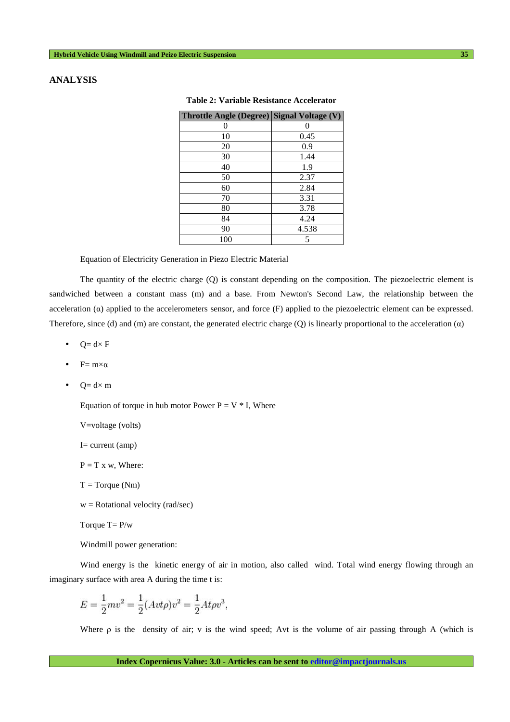# **ANALYSIS**

| Throttle Angle (Degree) Signal Voltage (V) |       |
|--------------------------------------------|-------|
|                                            |       |
| 10                                         | 0.45  |
| 20                                         | 0.9   |
| 30                                         | 1.44  |
| 40                                         | 1.9   |
| 50                                         | 2.37  |
| 60                                         | 2.84  |
| 70                                         | 3.31  |
| 80                                         | 3.78  |
| 84                                         | 4.24  |
| 90                                         | 4.538 |
| 100                                        | 5     |

| Table 2: Variable Resistance Accelerator |  |  |  |  |
|------------------------------------------|--|--|--|--|
|------------------------------------------|--|--|--|--|

Equation of Electricity Generation in Piezo Electric Material

The quantity of the electric charge (Q) is constant depending on the composition. The piezoelectric element is sandwiched between a constant mass (m) and a base. From Newton's Second Law, the relationship between the acceleration (α) applied to the accelerometers sensor, and force (F) applied to the piezoelectric element can be expressed. Therefore, since (d) and (m) are constant, the generated electric charge (Q) is linearly proportional to the acceleration  $(\alpha)$ 

- $Q = d \times F$
- $F = m \times \alpha$
- $Q = d \times m$

Equation of torque in hub motor Power  $P = V * I$ , Where

V=voltage (volts)

 $I=$  current (amp)

 $P = T x w$ , Where:

 $T = Torque(Nm)$ 

 $w = Rotational velocity (rad/sec)$ 

Torque  $T = P/w$ 

Windmill power generation:

Wind energy is the kinetic energy of air in motion, also called wind. Total wind energy flowing through an imaginary surface with area A during the time t is:

$$
E = \frac{1}{2}mv^2 = \frac{1}{2}(Avt\rho)v^2 = \frac{1}{2}At\rho v^3,
$$

Where ρ is the density of air; v is the wind speed; Avt is the volume of air passing through A (which is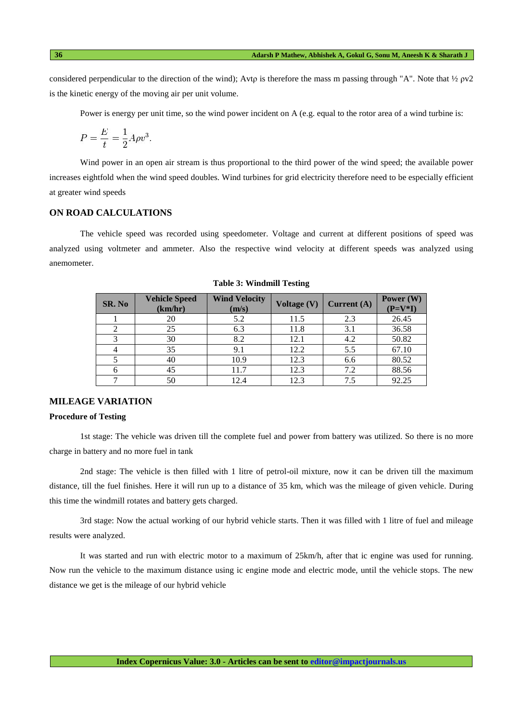considered perpendicular to the direction of the wind); Avtp is therefore the mass m passing through "A". Note that  $\frac{1}{2}$  pv2 is the kinetic energy of the moving air per unit volume.

Power is energy per unit time, so the wind power incident on A (e.g. equal to the rotor area of a wind turbine is:

$$
P = \frac{E}{t} = \frac{1}{2}A\rho v^3.
$$

Wind power in an open air stream is thus proportional to the third power of the wind speed; the available power increases eightfold when the wind speed doubles. Wind turbines for grid electricity therefore need to be especially efficient at greater wind speeds

# **ON ROAD CALCULATIONS**

The vehicle speed was recorded using speedometer. Voltage and current at different positions of speed was analyzed using voltmeter and ammeter. Also the respective wind velocity at different speeds was analyzed using anemometer.

| SR. No | <b>Vehicle Speed</b><br>(km/hr) | <b>Wind Velocity</b><br>(m/s) | Voltage (V) | Current $(A)$ | Power (W)<br>$(P=V^*I)$ |
|--------|---------------------------------|-------------------------------|-------------|---------------|-------------------------|
|        | 20                              | 5.2                           | 11.5        | 2.3           | 26.45                   |
|        | 25                              | 6.3                           | 11.8        | 3.1           | 36.58                   |
| 3      | 30                              | 8.2                           | 12.1        | 4.2           | 50.82                   |
|        | 35                              | 9.1                           | 12.2        | 5.5           | 67.10                   |
|        | 40                              | 10.9                          | 12.3        | 6.6           | 80.52                   |
|        | 45                              | 11.7                          | 12.3        | 7.2           | 88.56                   |
|        | 50                              | 12.4                          | 12.3        | 7.5           | 92.25                   |

**Table 3: Windmill Testing** 

# **MILEAGE VARIATION**

# **Procedure of Testing**

1st stage: The vehicle was driven till the complete fuel and power from battery was utilized. So there is no more charge in battery and no more fuel in tank

2nd stage: The vehicle is then filled with 1 litre of petrol-oil mixture, now it can be driven till the maximum distance, till the fuel finishes. Here it will run up to a distance of 35 km, which was the mileage of given vehicle. During this time the windmill rotates and battery gets charged.

3rd stage: Now the actual working of our hybrid vehicle starts. Then it was filled with 1 litre of fuel and mileage results were analyzed.

It was started and run with electric motor to a maximum of 25km/h, after that ic engine was used for running. Now run the vehicle to the maximum distance using ic engine mode and electric mode, until the vehicle stops. The new distance we get is the mileage of our hybrid vehicle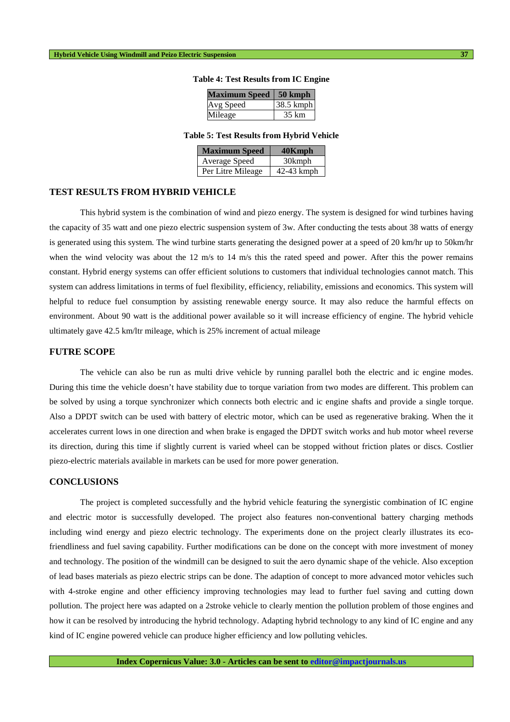| <b>Maximum Speed</b> | $\vert$ 50 kmph |
|----------------------|-----------------|
| Avg Speed            | 38.5 kmph       |
| Mileage              | 35 km           |

#### **Table 4: Test Results from IC Engine**

### **Table 5: Test Results from Hybrid Vehicle**

| <b>Maximum Speed</b> | 40Kmph     |
|----------------------|------------|
| Average Speed        | 30kmph     |
| Per Litre Mileage    | 42-43 kmph |

#### **TEST RESULTS FROM HYBRID VEHICLE**

This hybrid system is the combination of wind and piezo energy. The system is designed for wind turbines having the capacity of 35 watt and one piezo electric suspension system of 3w. After conducting the tests about 38 watts of energy is generated using this system. The wind turbine starts generating the designed power at a speed of 20 km/hr up to 50km/hr when the wind velocity was about the  $12 \text{ m/s}$  to  $14 \text{ m/s}$  this the rated speed and power. After this the power remains constant. Hybrid energy systems can offer efficient solutions to customers that individual technologies cannot match. This system can address limitations in terms of fuel flexibility, efficiency, reliability, emissions and economics. This system will helpful to reduce fuel consumption by assisting renewable energy source. It may also reduce the harmful effects on environment. About 90 watt is the additional power available so it will increase efficiency of engine. The hybrid vehicle ultimately gave 42.5 km/ltr mileage, which is 25% increment of actual mileage

# **FUTRE SCOPE**

The vehicle can also be run as multi drive vehicle by running parallel both the electric and ic engine modes. During this time the vehicle doesn't have stability due to torque variation from two modes are different. This problem can be solved by using a torque synchronizer which connects both electric and ic engine shafts and provide a single torque. Also a DPDT switch can be used with battery of electric motor, which can be used as regenerative braking. When the it accelerates current lows in one direction and when brake is engaged the DPDT switch works and hub motor wheel reverse its direction, during this time if slightly current is varied wheel can be stopped without friction plates or discs. Costlier piezo-electric materials available in markets can be used for more power generation.

#### **CONCLUSIONS**

The project is completed successfully and the hybrid vehicle featuring the synergistic combination of IC engine and electric motor is successfully developed. The project also features non-conventional battery charging methods including wind energy and piezo electric technology. The experiments done on the project clearly illustrates its ecofriendliness and fuel saving capability. Further modifications can be done on the concept with more investment of money and technology. The position of the windmill can be designed to suit the aero dynamic shape of the vehicle. Also exception of lead bases materials as piezo electric strips can be done. The adaption of concept to more advanced motor vehicles such with 4-stroke engine and other efficiency improving technologies may lead to further fuel saving and cutting down pollution. The project here was adapted on a 2stroke vehicle to clearly mention the pollution problem of those engines and how it can be resolved by introducing the hybrid technology. Adapting hybrid technology to any kind of IC engine and any kind of IC engine powered vehicle can produce higher efficiency and low polluting vehicles.